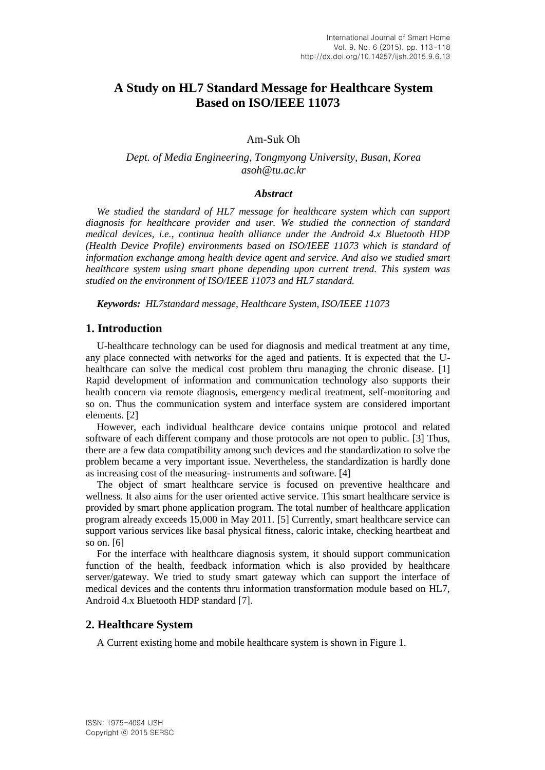# **A Study on HL7 Standard Message for Healthcare System Based on ISO/IEEE 11073**

## Am-Suk Oh

## *Dept. of Media Engineering, Tongmyong University, Busan, Korea asoh@tu.ac.kr*

#### *Abstract*

*We studied the standard of HL7 message for healthcare system which can support diagnosis for healthcare provider and user. We studied the connection of standard medical devices, i.e., continua health alliance under the Android 4.x Bluetooth HDP (Health Device Profile) environments based on ISO/IEEE 11073 which is standard of information exchange among health device agent and service. And also we studied smart healthcare system using smart phone depending upon current trend. This system was studied on the environment of ISO/IEEE 11073 and HL7 standard.*

*Keywords: HL7standard message, Healthcare System, ISO/IEEE 11073*

## **1. Introduction**

U-healthcare technology can be used for diagnosis and medical treatment at any time, any place connected with networks for the aged and patients. It is expected that the Uhealthcare can solve the medical cost problem thru managing the chronic disease. [1] Rapid development of information and communication technology also supports their health concern via remote diagnosis, emergency medical treatment, self-monitoring and so on. Thus the communication system and interface system are considered important elements. [2]

However, each individual healthcare device contains unique protocol and related software of each different company and those protocols are not open to public. [3] Thus, there are a few data compatibility among such devices and the standardization to solve the problem became a very important issue. Nevertheless, the standardization is hardly done as increasing cost of the measuring- instruments and software. [4]

The object of smart healthcare service is focused on preventive healthcare and wellness. It also aims for the user oriented active service. This smart healthcare service is provided by smart phone application program. The total number of healthcare application program already exceeds 15,000 in May 2011. [5] Currently, smart healthcare service can support various services like basal physical fitness, caloric intake, checking heartbeat and so on. [6]

For the interface with healthcare diagnosis system, it should support communication function of the health, feedback information which is also provided by healthcare server/gateway. We tried to study smart gateway which can support the interface of medical devices and the contents thru information transformation module based on HL7, Android 4.x Bluetooth HDP standard [7].

# **2. Healthcare System**

A Current existing home and mobile healthcare system is shown in Figure 1.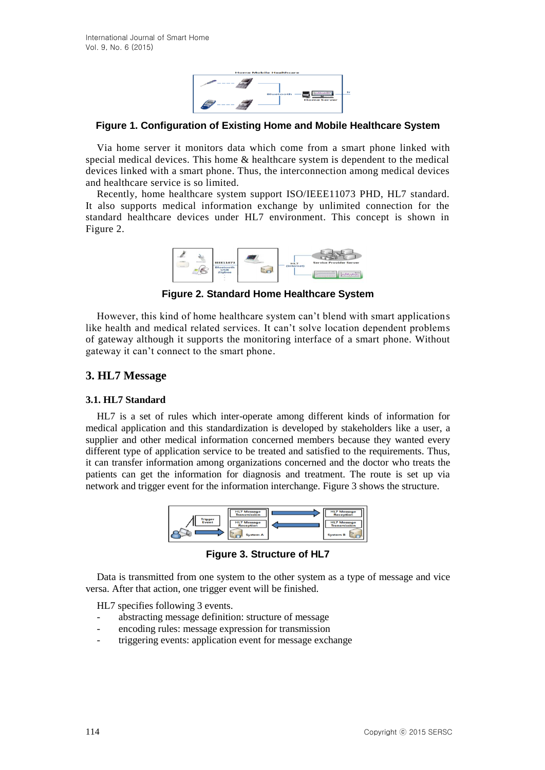

## **Figure 1. Configuration of Existing Home and Mobile Healthcare System**

Via home server it monitors data which come from a smart phone linked with special medical devices. This home & healthcare system is dependent to the medical devices linked with a smart phone. Thus, the interconnection among medical devices and healthcare service is so limited.

Recently, home healthcare system support ISO/IEEE11073 PHD, HL7 standard. It also supports medical information exchange by unlimited connection for the standard healthcare devices under HL7 environment. This concept is shown in Figure 2.



**Figure 2. Standard Home Healthcare System**

However, this kind of home healthcare system can't blend with smart applications like health and medical related services. It can't solve location dependent problems of gateway although it supports the monitoring interface of a smart phone. Without gateway it can't connect to the smart phone.

# **3. HL7 Message**

#### **3.1. HL7 Standard**

HL7 is a set of rules which inter-operate among different kinds of information for medical application and this standardization is developed by stakeholders like a user, a supplier and other medical information concerned members because they wanted every different type of application service to be treated and satisfied to the requirements. Thus, it can transfer information among organizations concerned and the doctor who treats the patients can get the information for diagnosis and treatment. The route is set up via network and trigger event for the information interchange. Figure 3 shows the structure.



**Figure 3. Structure of HL7**

Data is transmitted from one system to the other system as a type of message and vice versa. After that action, one trigger event will be finished.

HL7 specifies following 3 events.

- abstracting message definition: structure of message
- encoding rules: message expression for transmission
- triggering events: application event for message exchange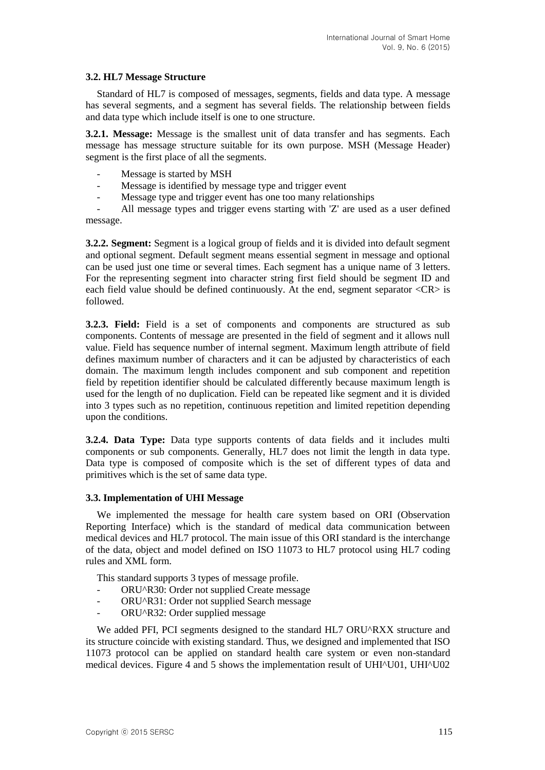### **3.2. HL7 Message Structure**

Standard of HL7 is composed of messages, segments, fields and data type. A message has several segments, and a segment has several fields. The relationship between fields and data type which include itself is one to one structure.

**3.2.1. Message:** Message is the smallest unit of data transfer and has segments. Each message has message structure suitable for its own purpose. MSH (Message Header) segment is the first place of all the segments.

- Message is started by MSH
- Message is identified by message type and trigger event
- Message type and trigger event has one too many relationships

All message types and trigger evens starting with 'Z' are used as a user defined message.

**3.2.2. Segment:** Segment is a logical group of fields and it is divided into default segment and optional segment. Default segment means essential segment in message and optional can be used just one time or several times. Each segment has a unique name of 3 letters. For the representing segment into character string first field should be segment ID and each field value should be defined continuously. At the end, segment separator <CR> is followed.

**3.2.3. Field:** Field is a set of components and components are structured as sub components. Contents of message are presented in the field of segment and it allows null value. Field has sequence number of internal segment. Maximum length attribute of field defines maximum number of characters and it can be adjusted by characteristics of each domain. The maximum length includes component and sub component and repetition field by repetition identifier should be calculated differently because maximum length is used for the length of no duplication. Field can be repeated like segment and it is divided into 3 types such as no repetition, continuous repetition and limited repetition depending upon the conditions.

**3.2.4. Data Type:** Data type supports contents of data fields and it includes multi components or sub components. Generally, HL7 does not limit the length in data type. Data type is composed of composite which is the set of different types of data and primitives which is the set of same data type.

#### **3.3. Implementation of UHI Message**

We implemented the message for health care system based on ORI (Observation Reporting Interface) which is the standard of medical data communication between medical devices and HL7 protocol. The main issue of this ORI standard is the interchange of the data, object and model defined on ISO 11073 to HL7 protocol using HL7 coding rules and XML form.

This standard supports 3 types of message profile.

- ORU^R30: Order not supplied Create message
- ORU^R31: Order not supplied Search message
- ORU^R32: Order supplied message

We added PFI, PCI segments designed to the standard HL7 ORU^RXX structure and its structure coincide with existing standard. Thus, we designed and implemented that ISO 11073 protocol can be applied on standard health care system or even non-standard medical devices. Figure 4 and 5 shows the implementation result of UHI^U01, UHI^U02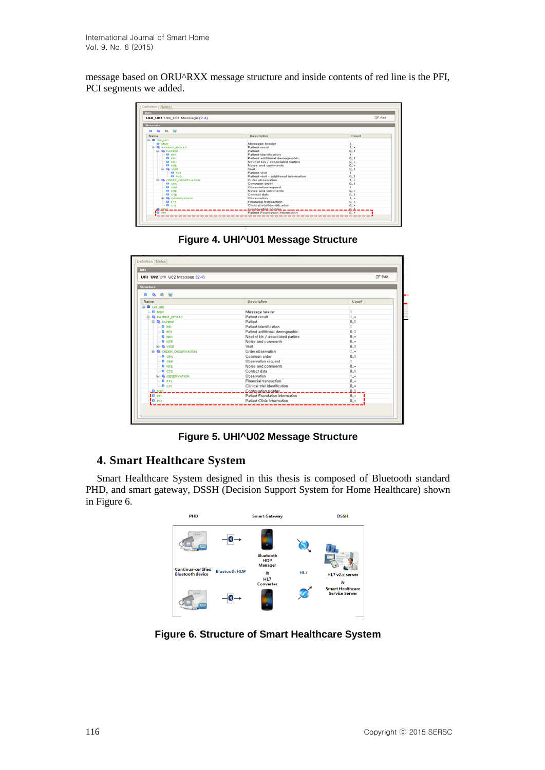message based on ORU^RXX message structure and inside contents of red line is the PFI, PCI segments we added.

| Info<br>UHI_U01 UHI_U01 Message (2.4)                                                                        |                                        | <b>Z</b> Edit |
|--------------------------------------------------------------------------------------------------------------|----------------------------------------|---------------|
| <b>Structure</b>                                                                                             |                                        |               |
| $\begin{array}{ccccccccccccccccc} \bullet & \bullet & \bullet & \bullet & \circ & \circ & \circ \end{array}$ |                                        |               |
| Name                                                                                                         | Description                            | Count         |
| <b>B-@ UH U01</b>                                                                                            |                                        |               |
| $-0$ MSH                                                                                                     | Message header                         |               |
| <b>G- &amp; PATIENT_RESULT</b>                                                                               | Patient result                         | $1 - 7$       |
| <b>S- &amp; PATENT</b>                                                                                       | Patient                                | 0.1           |
| $-0.80$                                                                                                      | Patient identification                 | ٠             |
| $-0.801$                                                                                                     | Patient additional demographic         | 0.1           |
| $-0$ NHT                                                                                                     | Next of kin / associated parties       | $0. -$        |
| $-0$ and                                                                                                     | Notes and comments                     | $0.7 -$       |
| <b>G-R VISIT</b>                                                                                             | Meit                                   | 0.1           |
| $E = 0$ PV1                                                                                                  | Patient visit                          |               |
| $-0.02$                                                                                                      | Patient visit - additional information | 0.1           |
| <b>B. &amp; ORDER_OBSERVATION</b>                                                                            | Order observation                      | $1 - 7$       |
| $-0$ one                                                                                                     | Common order                           | 0.1           |
| $-0$ cer                                                                                                     | Observation request                    | ٠             |
| $-Q$ NTE                                                                                                     | Notes and comments                     | $0.7 -$       |
| $-0$ cm                                                                                                      | Contact data                           | 0.1           |
| <b>G-G ORSERVATION</b>                                                                                       | Observation                            | $1.7 -$       |
| $-0$ FT1                                                                                                     | Financial transaction                  | $0. -$        |
| $-a$ cn                                                                                                      | Clinical trial identification          | 0.7           |
| $0.080 - -$                                                                                                  | Contiguation pointer __ _              | 요그            |
| <b>For</b> per                                                                                               | Patient Foundation Information         | $0. -$        |

**Figure 4. UHI^U01 Message Structure**



**Figure 5. UHI^U02 Message Structure**

# **4. Smart Healthcare System**

Smart Healthcare System designed in this thesis is composed of Bluetooth standard PHD, and smart gateway, DSSH (Decision Support System for Home Healthcare) shown in Figure 6.



**Figure 6. Structure of Smart Healthcare System**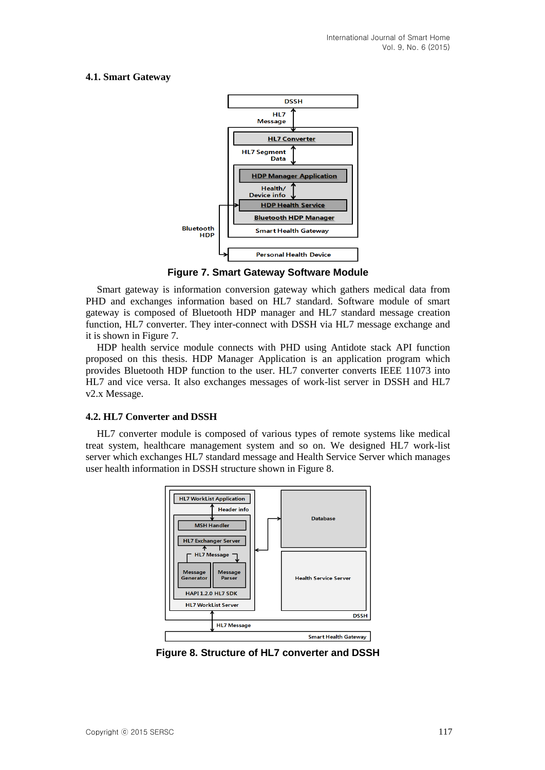## **4.1. Smart Gateway**



**Figure 7. Smart Gateway Software Module**

Smart gateway is information conversion gateway which gathers medical data from PHD and exchanges information based on HL7 standard. Software module of smart gateway is composed of Bluetooth HDP manager and HL7 standard message creation function, HL7 converter. They inter-connect with DSSH via HL7 message exchange and it is shown in Figure 7.

HDP health service module connects with PHD using Antidote stack API function proposed on this thesis. HDP Manager Application is an application program which provides Bluetooth HDP function to the user. HL7 converter converts IEEE 11073 into HL7 and vice versa. It also exchanges messages of work-list server in DSSH and HL7 v2.x Message.

#### **4.2. HL7 Converter and DSSH**

HL7 converter module is composed of various types of remote systems like medical treat system, healthcare management system and so on. We designed HL7 work-list server which exchanges HL7 standard message and Health Service Server which manages user health information in DSSH structure shown in Figure 8.



**Figure 8. Structure of HL7 converter and DSSH**